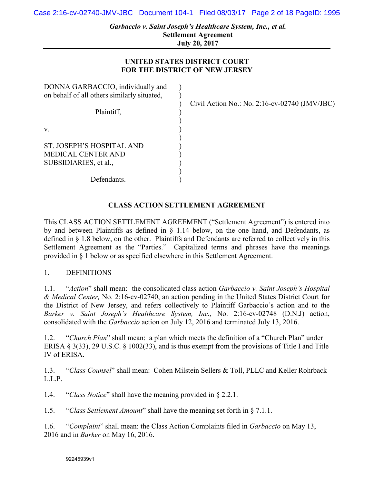#### **UNITED STATES DISTRICT COURT FOR THE DISTRICT OF NEW JERSEY**

| DONNA GARBACCIO, individually and           |  |
|---------------------------------------------|--|
| on behalf of all others similarly situated, |  |
|                                             |  |
| Plaintiff,                                  |  |
|                                             |  |
| V                                           |  |
|                                             |  |
| ST. JOSEPH'S HOSPITAL AND                   |  |
| <b>MEDICAL CENTER AND</b>                   |  |
| SUBSIDIARIES, et al.,                       |  |
|                                             |  |
| Defendants.                                 |  |

Civil Action No.: No. 2:16-cv-02740 (JMV/JBC)

#### **CLASS ACTION SETTLEMENT AGREEMENT**

This CLASS ACTION SETTLEMENT AGREEMENT ("Settlement Agreement") is entered into by and between Plaintiffs as defined in § 1.14 below, on the one hand, and Defendants, as defined in § 1.8 below, on the other. Plaintiffs and Defendants are referred to collectively in this Settlement Agreement as the "Parties." Capitalized terms and phrases have the meanings provided in § 1 below or as specified elsewhere in this Settlement Agreement.

1. DEFINITIONS

1.1. "*Action*" shall mean: the consolidated class action *Garbaccio v. Saint Joseph's Hospital & Medical Center,* No. 2:16-cv-02740, an action pending in the United States District Court for the District of New Jersey, and refers collectively to Plaintiff Garbaccio's action and to the *Barker v. Saint Joseph's Healthcare System, Inc.,* No. 2:16-cv-02748 (D.N.J) action, consolidated with the *Garbaccio* action on July 12, 2016 and terminated July 13, 2016.

1.2. "*Church Plan*" shall mean: a plan which meets the definition of a "Church Plan" under ERISA § 3(33), 29 U.S.C. § 1002(33), and is thus exempt from the provisions of Title I and Title IV of ERISA.

1.3. "*Class Counsel*" shall mean: Cohen Milstein Sellers & Toll, PLLC and Keller Rohrback L.L.P.

1.4. "*Class Notice*" shall have the meaning provided in § 2.2.1.

1.5. "*Class Settlement Amount*" shall have the meaning set forth in § 7.1.1.

1.6. "*Complaint*" shall mean: the Class Action Complaints filed in *Garbaccio* on May 13, 2016 and in *Barker* on May 16, 2016.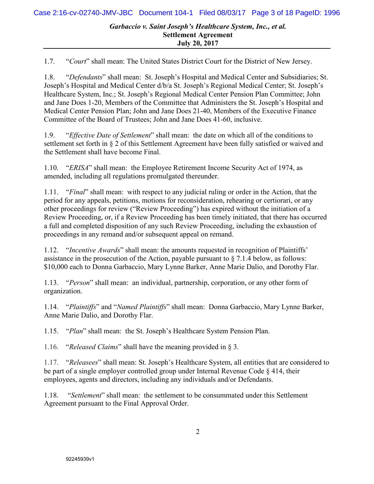1.7. "*Court*" shall mean: The United States District Court for the District of New Jersey.

1.8. "*Defendants*" shall mean: St. Joseph's Hospital and Medical Center and Subsidiaries; St. Joseph's Hospital and Medical Center d/b/a St. Joseph's Regional Medical Center; St. Joseph's Healthcare System, Inc.; St. Joseph's Regional Medical Center Pension Plan Committee; John and Jane Does 1-20, Members of the Committee that Administers the St. Joseph's Hospital and Medical Center Pension Plan; John and Jane Does 21-40, Members of the Executive Finance Committee of the Board of Trustees; John and Jane Does 41-60, inclusive.

1.9. "*Effective Date of Settlement*" shall mean: the date on which all of the conditions to settlement set forth in § 2 of this Settlement Agreement have been fully satisfied or waived and the Settlement shall have become Final.

1.10. "*ERISA*" shall mean: the Employee Retirement Income Security Act of 1974, as amended, including all regulations promulgated thereunder.

1.11. "*Final*" shall mean: with respect to any judicial ruling or order in the Action, that the period for any appeals, petitions, motions for reconsideration, rehearing or certiorari, or any other proceedings for review ("Review Proceeding") has expired without the initiation of a Review Proceeding, or, if a Review Proceeding has been timely initiated, that there has occurred a full and completed disposition of any such Review Proceeding, including the exhaustion of proceedings in any remand and/or subsequent appeal on remand.

1.12. "*Incentive Awards*" shall mean: the amounts requested in recognition of Plaintiffs' assistance in the prosecution of the Action, payable pursuant to  $\S 7.1.4$  below, as follows: \$10,000 each to Donna Garbaccio, Mary Lynne Barker, Anne Marie Dalio, and Dorothy Flar.

1.13. "*Person*" shall mean: an individual, partnership, corporation, or any other form of organization.

1.14. "*Plaintiffs*" and "*Named Plaintiffs*" shall mean: Donna Garbaccio, Mary Lynne Barker, Anne Marie Dalio, and Dorothy Flar.

1.15. "*Plan*" shall mean: the St. Joseph's Healthcare System Pension Plan.

1.16. "*Released Claims*" shall have the meaning provided in § 3.

1.17. "*Releasees*" shall mean: St. Joseph's Healthcare System, all entities that are considered to be part of a single employer controlled group under Internal Revenue Code  $\S 414$ , their employees, agents and directors, including any individuals and/or Defendants.

1.18. "*Settlement*" shall mean: the settlement to be consummated under this Settlement Agreement pursuant to the Final Approval Order.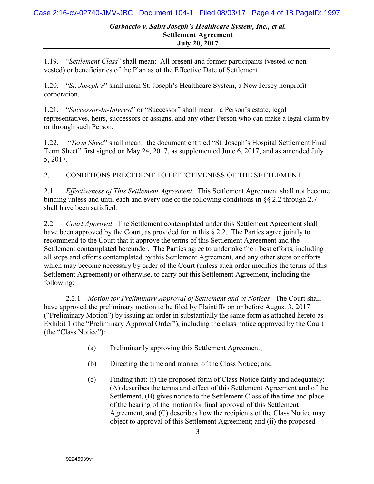1.19. "*Settlement Class*" shall mean: All present and former participants (vested or nonvested) or beneficiaries of the Plan as of the Effective Date of Settlement.

1.20. "*St. Joseph's*" shall mean St. Joseph's Healthcare System, a New Jersey nonprofit corporation.

1.21. "*Successor-In-Interest*" or "Successor" shall mean: a Person's estate, legal representatives, heirs, successors or assigns, and any other Person who can make a legal claim by or through such Person.

1.22. "*Term Sheet*" shall mean: the document entitled "St. Joseph's Hospital Settlement Final Term Sheet" first signed on May 24, 2017, as supplemented June 6, 2017, and as amended July 5, 2017.

2. CONDITIONS PRECEDENT TO EFFECTIVENESS OF THE SETTLEMENT

2.1. *Effectiveness of This Settlement Agreement*. This Settlement Agreement shall not become binding unless and until each and every one of the following conditions in §§ 2.2 through 2.7 shall have been satisfied.

2.2. *Court Approval*. The Settlement contemplated under this Settlement Agreement shall have been approved by the Court, as provided for in this § 2.2. The Parties agree jointly to recommend to the Court that it approve the terms of this Settlement Agreement and the Settlement contemplated hereunder. The Parties agree to undertake their best efforts, including all steps and efforts contemplated by this Settlement Agreement, and any other steps or efforts which may become necessary by order of the Court (unless such order modifies the terms of this Settlement Agreement) or otherwise, to carry out this Settlement Agreement, including the following:

2.2.1 *Motion for Preliminary Approval of Settlement and of Notices*. The Court shall have approved the preliminary motion to be filed by Plaintiffs on or before August 3, 2017 ("Preliminary Motion") by issuing an order in substantially the same form as attached hereto as Exhibit 1 (the "Preliminary Approval Order"), including the class notice approved by the Court (the "Class Notice"):

- (a) Preliminarily approving this Settlement Agreement;
- (b) Directing the time and manner of the Class Notice; and
- (c) Finding that: (i) the proposed form of Class Notice fairly and adequately: (A) describes the terms and effect of this Settlement Agreement and of the Settlement, (B) gives notice to the Settlement Class of the time and place of the hearing of the motion for final approval of this Settlement Agreement, and (C) describes how the recipients of the Class Notice may object to approval of this Settlement Agreement; and (ii) the proposed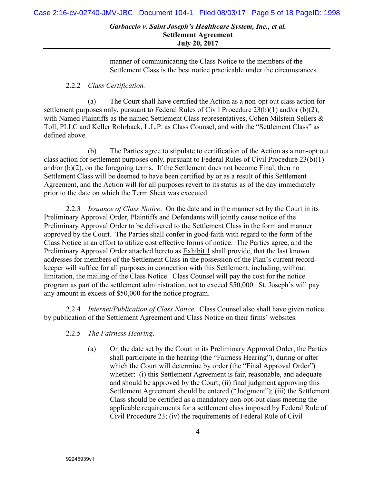manner of communicating the Class Notice to the members of the Settlement Class is the best notice practicable under the circumstances.

# 2.2.2 *Class Certification.*

(a) The Court shall have certified the Action as a non-opt out class action for settlement purposes only, pursuant to Federal Rules of Civil Procedure  $23(b)(1)$  and/or (b)(2), with Named Plaintiffs as the named Settlement Class representatives, Cohen Milstein Sellers & Toll, PLLC and Keller Rohrback, L.L.P. as Class Counsel, and with the "Settlement Class" as defined above.

(b) The Parties agree to stipulate to certification of the Action as a non-opt out class action for settlement purposes only, pursuant to Federal Rules of Civil Procedure 23(b)(1) and/or (b)(2), on the foregoing terms. If the Settlement does not become Final, then no Settlement Class will be deemed to have been certified by or as a result of this Settlement Agreement, and the Action will for all purposes revert to its status as of the day immediately prior to the date on which the Term Sheet was executed.

2.2.3 *Issuance of Class Notice*. On the date and in the manner set by the Court in its Preliminary Approval Order, Plaintiffs and Defendants will jointly cause notice of the Preliminary Approval Order to be delivered to the Settlement Class in the form and manner approved by the Court. The Parties shall confer in good faith with regard to the form of the Class Notice in an effort to utilize cost effective forms of notice. The Parties agree, and the Preliminary Approval Order attached hereto as Exhibit 1 shall provide, that the last known addresses for members of the Settlement Class in the possession of the Plan's current recordkeeper will suffice for all purposes in connection with this Settlement, including, without limitation, the mailing of the Class Notice. Class Counsel will pay the cost for the notice program as part of the settlement administration, not to exceed \$50,000. St. Joseph's will pay any amount in excess of \$50,000 for the notice program.

2.2.4 *Internet/Publication of Class Notice*. Class Counsel also shall have given notice by publication of the Settlement Agreement and Class Notice on their firms' websites.

#### 2.2.5 *The Fairness Hearing*.

(a) On the date set by the Court in its Preliminary Approval Order, the Parties shall participate in the hearing (the "Fairness Hearing"), during or after which the Court will determine by order (the "Final Approval Order") whether: (i) this Settlement Agreement is fair, reasonable, and adequate and should be approved by the Court; (ii) final judgment approving this Settlement Agreement should be entered ("Judgment"); (iii) the Settlement Class should be certified as a mandatory non-opt-out class meeting the applicable requirements for a settlement class imposed by Federal Rule of Civil Procedure 23; (iv) the requirements of Federal Rule of Civil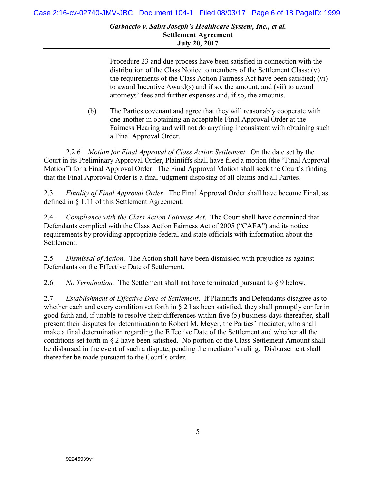Procedure 23 and due process have been satisfied in connection with the distribution of the Class Notice to members of the Settlement Class; (v) the requirements of the Class Action Fairness Act have been satisfied; (vi) to award Incentive Award(s) and if so, the amount; and (vii) to award attorneys' fees and further expenses and, if so, the amounts.

(b) The Parties covenant and agree that they will reasonably cooperate with one another in obtaining an acceptable Final Approval Order at the Fairness Hearing and will not do anything inconsistent with obtaining such a Final Approval Order.

2.2.6 *Motion for Final Approval of Class Action Settlement*. On the date set by the Court in its Preliminary Approval Order, Plaintiffs shall have filed a motion (the "Final Approval Motion") for a Final Approval Order. The Final Approval Motion shall seek the Court's finding that the Final Approval Order is a final judgment disposing of all claims and all Parties.

2.3. *Finality of Final Approval Order*. The Final Approval Order shall have become Final, as defined in § 1.11 of this Settlement Agreement.

2.4. *Compliance with the Class Action Fairness Act*. The Court shall have determined that Defendants complied with the Class Action Fairness Act of 2005 ("CAFA") and its notice requirements by providing appropriate federal and state officials with information about the Settlement.

2.5. *Dismissal of Action*. The Action shall have been dismissed with prejudice as against Defendants on the Effective Date of Settlement.

2.6. *No Termination.* The Settlement shall not have terminated pursuant to § 9 below.

2.7. *Establishment of Effective Date of Settlement*. If Plaintiffs and Defendants disagree as to whether each and every condition set forth in § 2 has been satisfied, they shall promptly confer in good faith and, if unable to resolve their differences within five (5) business days thereafter, shall present their disputes for determination to Robert M. Meyer, the Parties' mediator, who shall make a final determination regarding the Effective Date of the Settlement and whether all the conditions set forth in § 2 have been satisfied. No portion of the Class Settlement Amount shall be disbursed in the event of such a dispute, pending the mediator's ruling. Disbursement shall thereafter be made pursuant to the Court's order.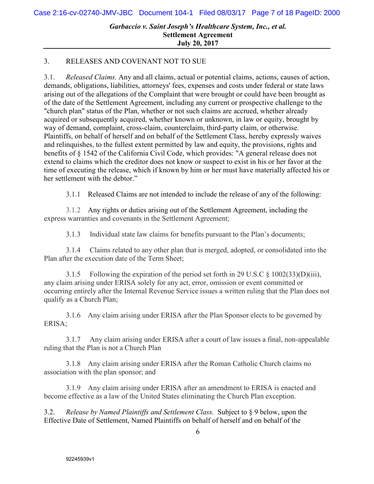# 3. RELEASES AND COVENANT NOT TO SUE

3.1. *Released Claims.* Any and all claims, actual or potential claims, actions, causes of action, demands, obligations, liabilities, attorneys' fees, expenses and costs under federal or state laws arising out of the allegations of the Complaint that were brought or could have been brought as of the date of the Settlement Agreement, including any current or prospective challenge to the "church plan" status of the Plan, whether or not such claims are accrued, whether already acquired or subsequently acquired, whether known or unknown, in law or equity, brought by way of demand, complaint, cross-claim, counterclaim, third-party claim, or otherwise. Plaintiffs, on behalf of herself and on behalf of the Settlement Class, hereby expressly waives and relinquishes, to the fullest extent permitted by law and equity, the provisions, rights and benefits of § 1542 of the California Civil Code, which provides: "A general release does not extend to claims which the creditor does not know or suspect to exist in his or her favor at the time of executing the release, which if known by him or her must have materially affected his or her settlement with the debtor."

3.1.1 Released Claims are not intended to include the release of any of the following:

3.1.2 Any rights or duties arising out of the Settlement Agreement, including the express warranties and covenants in the Settlement Agreement;

3.1.3 Individual state law claims for benefits pursuant to the Plan's documents;

3.1.4 Claims related to any other plan that is merged, adopted, or consolidated into the Plan after the execution date of the Term Sheet;

3.1.5 Following the expiration of the period set forth in 29 U.S.C § 1002(33)(D)(iii), any claim arising under ERISA solely for any act, error, omission or event committed or occurring entirely after the Internal Revenue Service issues a written ruling that the Plan does not qualify as a Church Plan;

3.1.6 Any claim arising under ERISA after the Plan Sponsor elects to be governed by ERISA;

3.1.7 Any claim arising under ERISA after a court of law issues a final, non-appealable ruling that the Plan is not a Church Plan

3.1.8 Any claim arising under ERISA after the Roman Catholic Church claims no association with the plan sponsor; and

3.1.9 Any claim arising under ERISA after an amendment to ERISA is enacted and become effective as a law of the United States eliminating the Church Plan exception.

3.2. *Release by Named Plaintiffs and Settlement Class.* Subject to § 9 below, upon the Effective Date of Settlement, Named Plaintiffs on behalf of herself and on behalf of the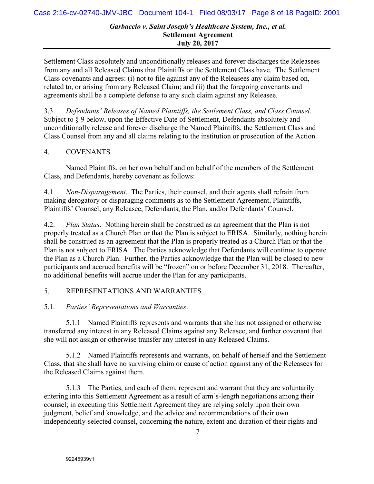Settlement Class absolutely and unconditionally releases and forever discharges the Releasees from any and all Released Claims that Plaintiffs or the Settlement Class have. The Settlement Class covenants and agrees: (i) not to file against any of the Releasees any claim based on, related to, or arising from any Released Claim; and (ii) that the foregoing covenants and agreements shall be a complete defense to any such claim against any Releasee.

3.3. *Defendants' Releases of Named Plaintiffs, the Settlement Class, and Class Counsel*. Subject to § 9 below, upon the Effective Date of Settlement, Defendants absolutely and unconditionally release and forever discharge the Named Plaintiffs, the Settlement Class and Class Counsel from any and all claims relating to the institution or prosecution of the Action.

# 4. COVENANTS

Named Plaintiffs, on her own behalf and on behalf of the members of the Settlement Class, and Defendants, hereby covenant as follows:

4.1. *Non-Disparagement*. The Parties, their counsel, and their agents shall refrain from making derogatory or disparaging comments as to the Settlement Agreement, Plaintiffs, Plaintiffs' Counsel, any Releasee, Defendants, the Plan, and/or Defendants' Counsel.

4.2. *Plan Status*. Nothing herein shall be construed as an agreement that the Plan is not properly treated as a Church Plan or that the Plan is subject to ERISA. Similarly, nothing herein shall be construed as an agreement that the Plan is properly treated as a Church Plan or that the Plan is not subject to ERISA. The Parties acknowledge that Defendants will continue to operate the Plan as a Church Plan. Further, the Parties acknowledge that the Plan will be closed to new participants and accrued benefits will be "frozen" on or before December 31, 2018. Thereafter, no additional benefits will accrue under the Plan for any participants.

# 5. REPRESENTATIONS AND WARRANTIES

#### 5.1. *Parties' Representations and Warranties*.

5.1.1 Named Plaintiffs represents and warrants that she has not assigned or otherwise transferred any interest in any Released Claims against any Releasee, and further covenant that she will not assign or otherwise transfer any interest in any Released Claims.

5.1.2 Named Plaintiffs represents and warrants, on behalf of herself and the Settlement Class, that she shall have no surviving claim or cause of action against any of the Releasees for the Released Claims against them.

5.1.3 The Parties, and each of them, represent and warrant that they are voluntarily entering into this Settlement Agreement as a result of arm's-length negotiations among their counsel; in executing this Settlement Agreement they are relying solely upon their own judgment, belief and knowledge, and the advice and recommendations of their own independently-selected counsel, concerning the nature, extent and duration of their rights and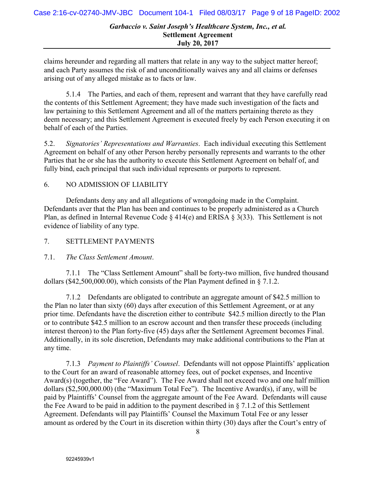claims hereunder and regarding all matters that relate in any way to the subject matter hereof; and each Party assumes the risk of and unconditionally waives any and all claims or defenses arising out of any alleged mistake as to facts or law.

5.1.4 The Parties, and each of them, represent and warrant that they have carefully read the contents of this Settlement Agreement; they have made such investigation of the facts and law pertaining to this Settlement Agreement and all of the matters pertaining thereto as they deem necessary; and this Settlement Agreement is executed freely by each Person executing it on behalf of each of the Parties.

5.2. *Signatories' Representations and Warranties*. Each individual executing this Settlement Agreement on behalf of any other Person hereby personally represents and warrants to the other Parties that he or she has the authority to execute this Settlement Agreement on behalf of, and fully bind, each principal that such individual represents or purports to represent.

# 6. NO ADMISSION OF LIABILITY

Defendants deny any and all allegations of wrongdoing made in the Complaint. Defendants aver that the Plan has been and continues to be properly administered as a Church Plan, as defined in Internal Revenue Code  $\S 414(e)$  and ERISA  $\S 3(33)$ . This Settlement is not evidence of liability of any type.

#### 7. SETTLEMENT PAYMENTS

# 7.1. *The Class Settlement Amount*.

7.1.1 The "Class Settlement Amount" shall be forty-two million, five hundred thousand dollars (\$42,500,000.00), which consists of the Plan Payment defined in  $\S 7.1.2$ .

7.1.2 Defendants are obligated to contribute an aggregate amount of \$42.5 million to the Plan no later than sixty (60) days after execution of this Settlement Agreement, or at any prior time. Defendants have the discretion either to contribute \$42.5 million directly to the Plan or to contribute \$42.5 million to an escrow account and then transfer these proceeds (including interest thereon) to the Plan forty-five (45) days after the Settlement Agreement becomes Final. Additionally, in its sole discretion, Defendants may make additional contributions to the Plan at any time.

7.1.3 *Payment to Plaintiffs' Counsel*. Defendants will not oppose Plaintiffs' application to the Court for an award of reasonable attorney fees, out of pocket expenses, and Incentive Award(s) (together, the "Fee Award"). The Fee Award shall not exceed two and one half million dollars (\$2,500,000.00) (the "Maximum Total Fee"). The Incentive Award(s), if any, will be paid by Plaintiffs' Counsel from the aggregate amount of the Fee Award. Defendants will cause the Fee Award to be paid in addition to the payment described in § 7.1.2 of this Settlement Agreement. Defendants will pay Plaintiffs' Counsel the Maximum Total Fee or any lesser amount as ordered by the Court in its discretion within thirty (30) days after the Court's entry of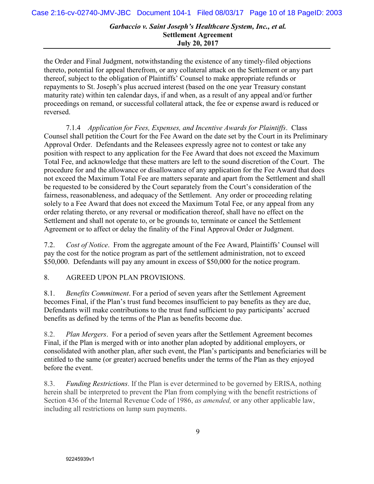the Order and Final Judgment, notwithstanding the existence of any timely-filed objections thereto, potential for appeal therefrom, or any collateral attack on the Settlement or any part thereof, subject to the obligation of Plaintiffs' Counsel to make appropriate refunds or repayments to St. Joseph's plus accrued interest (based on the one year Treasury constant maturity rate) within ten calendar days, if and when, as a result of any appeal and/or further proceedings on remand, or successful collateral attack, the fee or expense award is reduced or reversed.

7.1.4 *Application for Fees, Expenses, and Incentive Awards for Plaintiffs*. Class Counsel shall petition the Court for the Fee Award on the date set by the Court in its Preliminary Approval Order. Defendants and the Releasees expressly agree not to contest or take any position with respect to any application for the Fee Award that does not exceed the Maximum Total Fee, and acknowledge that these matters are left to the sound discretion of the Court. The procedure for and the allowance or disallowance of any application for the Fee Award that does not exceed the Maximum Total Fee are matters separate and apart from the Settlement and shall be requested to be considered by the Court separately from the Court's consideration of the fairness, reasonableness, and adequacy of the Settlement. Any order or proceeding relating solely to a Fee Award that does not exceed the Maximum Total Fee, or any appeal from any order relating thereto, or any reversal or modification thereof, shall have no effect on the Settlement and shall not operate to, or be grounds to, terminate or cancel the Settlement Agreement or to affect or delay the finality of the Final Approval Order or Judgment.

7.2. *Cost of Notice*. From the aggregate amount of the Fee Award, Plaintiffs' Counsel will pay the cost for the notice program as part of the settlement administration, not to exceed \$50,000. Defendants will pay any amount in excess of \$50,000 for the notice program.

8. AGREED UPON PLAN PROVISIONS.

8.1. *Benefits Commitment*. For a period of seven years after the Settlement Agreement becomes Final, if the Plan's trust fund becomes insufficient to pay benefits as they are due, Defendants will make contributions to the trust fund sufficient to pay participants' accrued benefits as defined by the terms of the Plan as benefits become due.

8.2. *Plan Mergers*.For a period of seven years after the Settlement Agreement becomes Final, if the Plan is merged with or into another plan adopted by additional employers, or consolidated with another plan, after such event, the Plan's participants and beneficiaries will be entitled to the same (or greater) accrued benefits under the terms of the Plan as they enjoyed before the event.

8.3. *Funding Restrictions*. If the Plan is ever determined to be governed by ERISA, nothing herein shall be interpreted to prevent the Plan from complying with the benefit restrictions of Section 436 of the Internal Revenue Code of 1986, *as amended,* or any other applicable law, including all restrictions on lump sum payments.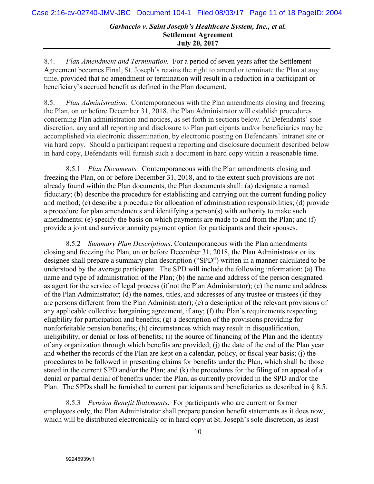8.4. *Plan Amendment and Termination.* For a period of seven years after the Settlement Agreement becomes Final, St. Joseph's retains the right to amend or terminate the Plan at any time, provided that no amendment or termination will result in a reduction in a participant or beneficiary's accrued benefit as defined in the Plan document.

8.5. *Plan Administration.* Contemporaneous with the Plan amendments closing and freezing the Plan, on or before December 31, 2018, the Plan Administrator will establish procedures concerning Plan administration and notices, as set forth in sections below. At Defendants' sole discretion, any and all reporting and disclosure to Plan participants and/or beneficiaries may be accomplished via electronic dissemination, by electronic posting on Defendants' intranet site or via hard copy. Should a participant request a reporting and disclosure document described below in hard copy, Defendants will furnish such a document in hard copy within a reasonable time.

8.5.1 *Plan Documents.* Contemporaneous with the Plan amendments closing and freezing the Plan, on or before December 31, 2018, and to the extent such provisions are not already found within the Plan documents, the Plan documents shall: (a) designate a named fiduciary; (b) describe the procedure for establishing and carrying out the current funding policy and method; (c) describe a procedure for allocation of administration responsibilities; (d) provide a procedure for plan amendments and identifying a person(s) with authority to make such amendments; (e) specify the basis on which payments are made to and from the Plan; and (f) provide a joint and survivor annuity payment option for participants and their spouses.

8.5.2 *Summary Plan Descriptions*. Contemporaneous with the Plan amendments closing and freezing the Plan, on or before December 31, 2018, the Plan Administrator or its designee shall prepare a summary plan description ("SPD") written in a manner calculated to be understood by the average participant. The SPD will include the following information: (a) The name and type of administration of the Plan; (b) the name and address of the person designated as agent for the service of legal process (if not the Plan Administrator); (c) the name and address of the Plan Administrator; (d) the names, titles, and addresses of any trustee or trustees (if they are persons different from the Plan Administrator); (e) a description of the relevant provisions of any applicable collective bargaining agreement, if any; (f) the Plan's requirements respecting eligibility for participation and benefits; (g) a description of the provisions providing for nonforfeitable pension benefits; (h) circumstances which may result in disqualification, ineligibility, or denial or loss of benefits; (i) the source of financing of the Plan and the identity of any organization through which benefits are provided; (j) the date of the end of the Plan year and whether the records of the Plan are kept on a calendar, policy, or fiscal year basis; (j) the procedures to be followed in presenting claims for benefits under the Plan, which shall be those stated in the current SPD and/or the Plan; and (k) the procedures for the filing of an appeal of a denial or partial denial of benefits under the Plan, as currently provided in the SPD and/or the Plan. The SPDs shall be furnished to current participants and beneficiaries as described in § 8.5.

8.5.3 *Pension Benefit Statements*. For participants who are current or former employees only, the Plan Administrator shall prepare pension benefit statements as it does now, which will be distributed electronically or in hard copy at St. Joseph's sole discretion, as least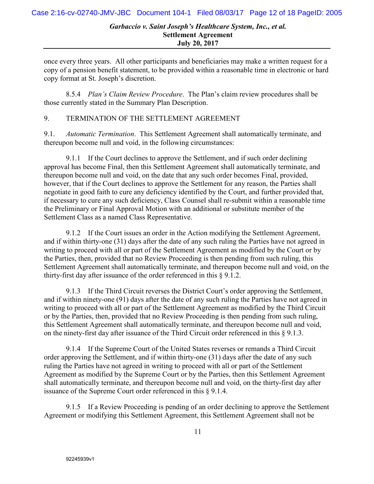once every three years. All other participants and beneficiaries may make a written request for a copy of a pension benefit statement, to be provided within a reasonable time in electronic or hard copy format at St. Joseph's discretion.

8.5.4 *Plan's Claim Review Procedure*. The Plan's claim review procedures shall be those currently stated in the Summary Plan Description.

9. TERMINATION OF THE SETTLEMENT AGREEMENT

9.1. *Automatic Termination*. This Settlement Agreement shall automatically terminate, and thereupon become null and void, in the following circumstances:

9.1.1 If the Court declines to approve the Settlement, and if such order declining approval has become Final, then this Settlement Agreement shall automatically terminate, and thereupon become null and void, on the date that any such order becomes Final, provided, however, that if the Court declines to approve the Settlement for any reason, the Parties shall negotiate in good faith to cure any deficiency identified by the Court, and further provided that, if necessary to cure any such deficiency, Class Counsel shall re-submit within a reasonable time the Preliminary or Final Approval Motion with an additional or substitute member of the Settlement Class as a named Class Representative.

9.1.2 If the Court issues an order in the Action modifying the Settlement Agreement, and if within thirty-one (31) days after the date of any such ruling the Parties have not agreed in writing to proceed with all or part of the Settlement Agreement as modified by the Court or by the Parties, then, provided that no Review Proceeding is then pending from such ruling, this Settlement Agreement shall automatically terminate, and thereupon become null and void, on the thirty-first day after issuance of the order referenced in this § 9.1.2.

9.1.3 If the Third Circuit reverses the District Court's order approving the Settlement, and if within ninety-one (91) days after the date of any such ruling the Parties have not agreed in writing to proceed with all or part of the Settlement Agreement as modified by the Third Circuit or by the Parties, then, provided that no Review Proceeding is then pending from such ruling, this Settlement Agreement shall automatically terminate, and thereupon become null and void, on the ninety-first day after issuance of the Third Circuit order referenced in this § 9.1.3.

9.1.4 If the Supreme Court of the United States reverses or remands a Third Circuit order approving the Settlement, and if within thirty-one (31) days after the date of any such ruling the Parties have not agreed in writing to proceed with all or part of the Settlement Agreement as modified by the Supreme Court or by the Parties, then this Settlement Agreement shall automatically terminate, and thereupon become null and void, on the thirty-first day after issuance of the Supreme Court order referenced in this § 9.1.4.

9.1.5 If a Review Proceeding is pending of an order declining to approve the Settlement Agreement or modifying this Settlement Agreement, this Settlement Agreement shall not be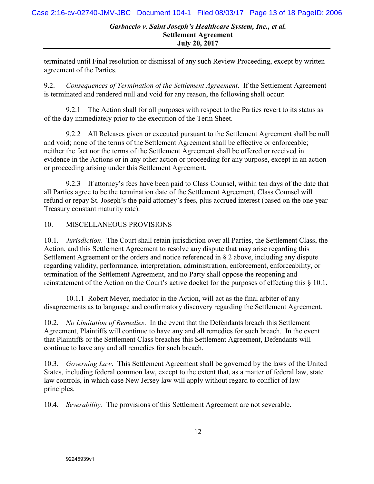terminated until Final resolution or dismissal of any such Review Proceeding, except by written agreement of the Parties.

9.2. *Consequences of Termination of the Settlement Agreement*. If the Settlement Agreement is terminated and rendered null and void for any reason, the following shall occur:

9.2.1 The Action shall for all purposes with respect to the Parties revert to its status as of the day immediately prior to the execution of the Term Sheet.

9.2.2 All Releases given or executed pursuant to the Settlement Agreement shall be null and void; none of the terms of the Settlement Agreement shall be effective or enforceable; neither the fact nor the terms of the Settlement Agreement shall be offered or received in evidence in the Actions or in any other action or proceeding for any purpose, except in an action or proceeding arising under this Settlement Agreement.

9.2.3 If attorney's fees have been paid to Class Counsel, within ten days of the date that all Parties agree to be the termination date of the Settlement Agreement, Class Counsel will refund or repay St. Joseph's the paid attorney's fees, plus accrued interest (based on the one year Treasury constant maturity rate).

# 10. MISCELLANEOUS PROVISIONS

10.1. *Jurisdiction*. The Court shall retain jurisdiction over all Parties, the Settlement Class, the Action, and this Settlement Agreement to resolve any dispute that may arise regarding this Settlement Agreement or the orders and notice referenced in § 2 above, including any dispute regarding validity, performance, interpretation, administration, enforcement, enforceability, or termination of the Settlement Agreement, and no Party shall oppose the reopening and reinstatement of the Action on the Court's active docket for the purposes of effecting this § 10.1.

10.1.1 Robert Meyer, mediator in the Action, will act as the final arbiter of any disagreements as to language and confirmatory discovery regarding the Settlement Agreement.

10.2. *No Limitation of Remedies*. In the event that the Defendants breach this Settlement Agreement, Plaintiffs will continue to have any and all remedies for such breach. In the event that Plaintiffs or the Settlement Class breaches this Settlement Agreement, Defendants will continue to have any and all remedies for such breach.

10.3. *Governing Law*. This Settlement Agreement shall be governed by the laws of the United States, including federal common law, except to the extent that, as a matter of federal law, state law controls, in which case New Jersey law will apply without regard to conflict of law principles.

10.4. *Severability*. The provisions of this Settlement Agreement are not severable.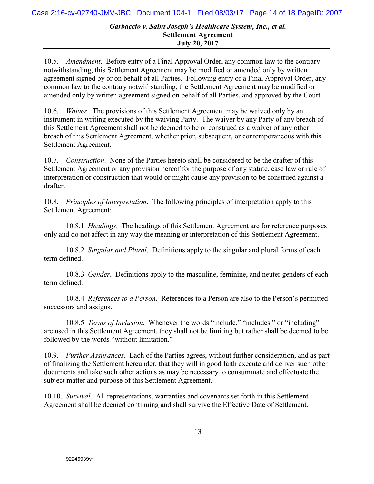10.5. *Amendment*. Before entry of a Final Approval Order, any common law to the contrary notwithstanding, this Settlement Agreement may be modified or amended only by written agreement signed by or on behalf of all Parties. Following entry of a Final Approval Order, any common law to the contrary notwithstanding, the Settlement Agreement may be modified or amended only by written agreement signed on behalf of all Parties, and approved by the Court.

10.6. *Waiver*. The provisions of this Settlement Agreement may be waived only by an instrument in writing executed by the waiving Party. The waiver by any Party of any breach of this Settlement Agreement shall not be deemed to be or construed as a waiver of any other breach of this Settlement Agreement, whether prior, subsequent, or contemporaneous with this Settlement Agreement.

10.7. *Construction*. None of the Parties hereto shall be considered to be the drafter of this Settlement Agreement or any provision hereof for the purpose of any statute, case law or rule of interpretation or construction that would or might cause any provision to be construed against a drafter.

10.8. *Principles of Interpretation*. The following principles of interpretation apply to this Settlement Agreement:

10.8.1 *Headings*. The headings of this Settlement Agreement are for reference purposes only and do not affect in any way the meaning or interpretation of this Settlement Agreement.

10.8.2 *Singular and Plural*. Definitions apply to the singular and plural forms of each term defined.

10.8.3 *Gender*. Definitions apply to the masculine, feminine, and neuter genders of each term defined.

10.8.4 *References to a Person*. References to a Person are also to the Person's permitted successors and assigns.

10.8.5 *Terms of Inclusion*. Whenever the words "include," "includes," or "including" are used in this Settlement Agreement, they shall not be limiting but rather shall be deemed to be followed by the words "without limitation."

10.9. *Further Assurances*. Each of the Parties agrees, without further consideration, and as part of finalizing the Settlement hereunder, that they will in good faith execute and deliver such other documents and take such other actions as may be necessary to consummate and effectuate the subject matter and purpose of this Settlement Agreement.

10.10. *Survival*. All representations, warranties and covenants set forth in this Settlement Agreement shall be deemed continuing and shall survive the Effective Date of Settlement.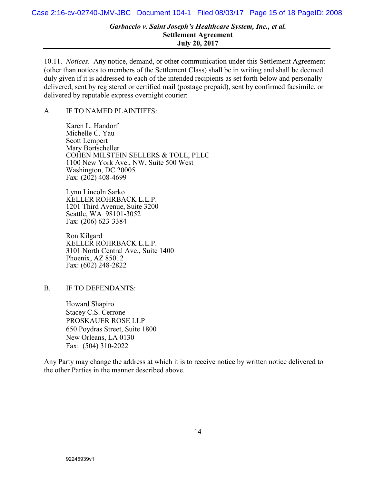10.11. *Notices*. Any notice, demand, or other communication under this Settlement Agreement (other than notices to members of the Settlement Class) shall be in writing and shall be deemed duly given if it is addressed to each of the intended recipients as set forth below and personally delivered, sent by registered or certified mail (postage prepaid), sent by confirmed facsimile, or delivered by reputable express overnight courier:

#### A. IF TO NAMED PLAINTIFFS:

Karen L. Handorf Michelle C. Yau Scott Lempert Mary Bortscheller COHEN MILSTEIN SELLERS & TOLL, PLLC 1100 New York Ave., NW, Suite 500 West Washington, DC 20005 Fax: (202) 408-4699

Lynn Lincoln Sarko KELLER ROHRBACK L.L.P. 1201 Third Avenue, Suite 3200 Seattle, WA 98101-3052 Fax: (206) 623-3384

Ron Kilgard KELLER ROHRBACK L.L.P. 3101 North Central Ave., Suite 1400 Phoenix, AZ 85012 Fax: (602) 248-2822

#### B. IF TO DEFENDANTS:

Howard Shapiro Stacey C.S. Cerrone PROSKAUER ROSE LLP 650 Poydras Street, Suite 1800 New Orleans, LA 0130 Fax: (504) 310-2022

Any Party may change the address at which it is to receive notice by written notice delivered to the other Parties in the manner described above.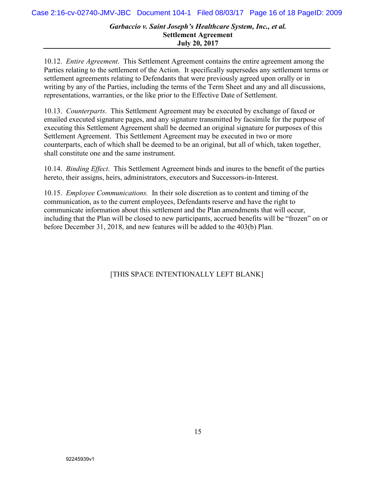10.12. *Entire Agreement*. This Settlement Agreement contains the entire agreement among the Parties relating to the settlement of the Action. It specifically supersedes any settlement terms or settlement agreements relating to Defendants that were previously agreed upon orally or in writing by any of the Parties, including the terms of the Term Sheet and any and all discussions, representations, warranties, or the like prior to the Effective Date of Settlement.

10.13. *Counterparts*. This Settlement Agreement may be executed by exchange of faxed or emailed executed signature pages, and any signature transmitted by facsimile for the purpose of executing this Settlement Agreement shall be deemed an original signature for purposes of this Settlement Agreement. This Settlement Agreement may be executed in two or more counterparts, each of which shall be deemed to be an original, but all of which, taken together, shall constitute one and the same instrument.

10.14. *Binding Effect*. This Settlement Agreement binds and inures to the benefit of the parties hereto, their assigns, heirs, administrators, executors and Successors-in-Interest.

10.15. *Employee Communications.* In their sole discretion as to content and timing of the communication, as to the current employees, Defendants reserve and have the right to communicate information about this settlement and the Plan amendments that will occur, including that the Plan will be closed to new participants, accrued benefits will be "frozen" on or before December 31, 2018, and new features will be added to the 403(b) Plan.

[THIS SPACE INTENTIONALLY LEFT BLANK]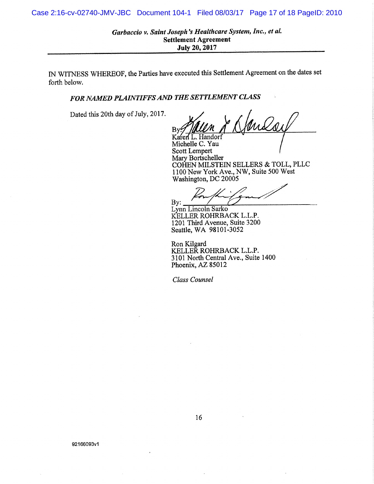<sup>I</sup>N WITNESS WHEREOF, the Parties have executed this Settlement Agreement on the dates set forth below.

# <sup>F</sup>OR NAMED PLAINTIFFS AND THE SETTLEMENT CLASS

<sup>D</sup>ated this 20th day of July, 2017.

 $_{\rm B}$ lort

Michelle C. Yau Scott Lempert <sup>M</sup>ary Bortscheller COHEN MILSTEIN SELLERS & TOLL, PLLC 1100 New York Ave., NW, Suite 500 West <sup>W</sup>ashington, DC 20005

 $By:$ 

<sup>L</sup>ynn. Lincoln Sarko KELLER ROHRBACK L.L.P. 1201 Third Avenue, Suite 3200 Seattle, WA 98101-3052

Ron Kilgard KELLER ROHRBACK L.L.P. 3101 North Central Ave., Suite 1400 Phoenix, AZ 85012

Class Counsel